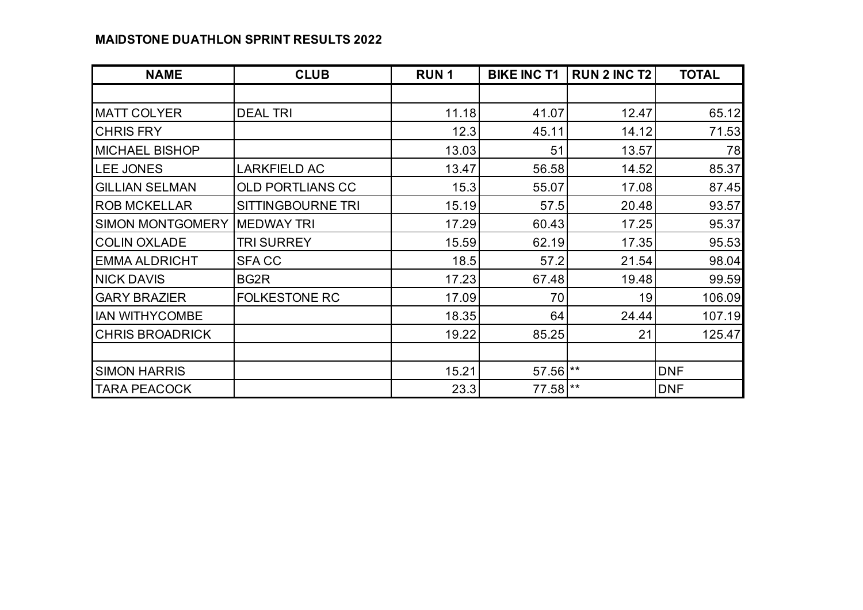## **MAIDSTONE DUATHLON SPRINT RESULTS 2022**

| <b>NAME</b>             | <b>CLUB</b>             | <b>RUN1</b> | <b>BIKE INC T1</b> | <b>RUN 2 INC T2</b> | <b>TOTAL</b> |
|-------------------------|-------------------------|-------------|--------------------|---------------------|--------------|
|                         |                         |             |                    |                     |              |
| <b>MATT COLYER</b>      | <b>DEAL TRI</b>         | 11.18       | 41.07              | 12.47               | 65.12        |
| <b>CHRIS FRY</b>        |                         | 12.3        | 45.11              | 14.12               | 71.53        |
| <b>MICHAEL BISHOP</b>   |                         | 13.03       | 51                 | 13.57               | 78           |
| LEE JONES               | <b>LARKFIELD AC</b>     | 13.47       | 56.58              | 14.52               | 85.37        |
| <b>GILLIAN SELMAN</b>   | <b>OLD PORTLIANS CC</b> | 15.3        | 55.07              | 17.08               | 87.45        |
| <b>ROB MCKELLAR</b>     | SITTINGBOURNE TRI       | 15.19       | 57.5               | 20.48               | 93.57        |
| <b>SIMON MONTGOMERY</b> | <b>MEDWAY TRI</b>       | 17.29       | 60.43              | 17.25               | 95.37        |
| <b>COLIN OXLADE</b>     | TRI SURREY              | 15.59       | 62.19              | 17.35               | 95.53        |
| <b>EMMA ALDRICHT</b>    | <b>SFACC</b>            | 18.5        | 57.2               | 21.54               | 98.04        |
| <b>NICK DAVIS</b>       | BG <sub>2</sub> R       | 17.23       | 67.48              | 19.48               | 99.59        |
| <b>GARY BRAZIER</b>     | <b>FOLKESTONE RC</b>    | 17.09       | 70                 | 19                  | 106.09       |
| <b>IAN WITHYCOMBE</b>   |                         | 18.35       | 64                 | 24.44               | 107.19       |
| <b>CHRIS BROADRICK</b>  |                         | 19.22       | 85.25              | 21                  | 125.47       |
|                         |                         |             |                    |                     |              |
| <b>SIMON HARRIS</b>     |                         | 15.21       | 57.56 **           |                     | <b>DNF</b>   |
| <b>TARA PEACOCK</b>     |                         | 23.3        | 77.58 **           |                     | <b>DNF</b>   |